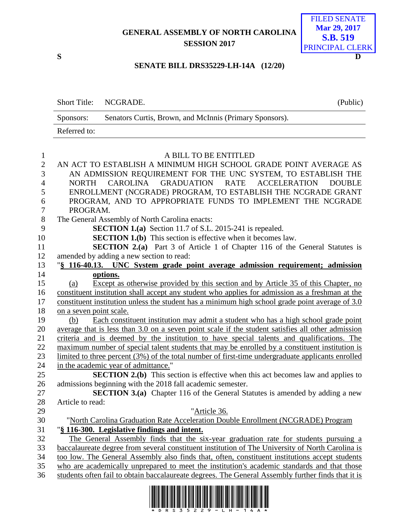## **GENERAL ASSEMBLY OF NORTH CAROLINA SESSION 2017**



## **SENATE BILL DRS35229-LH-14A (12/20)**

|        |              | Short Title: NCGRADE.                                                  | (Public) |
|--------|--------------|------------------------------------------------------------------------|----------|
|        | Sponsors:    | Senators Curtis, Brown, and McInnis (Primary Sponsors).                |          |
|        | Referred to: |                                                                        |          |
|        |              |                                                                        |          |
|        |              | A BILL TO BE ENTITLED                                                  |          |
| $\sim$ |              | IN LOT TO FOR UNIQUE LA UNIN HILL HIGH COHOOI ON LAP BOINT LUPD LOP LO |          |

| $\overline{c}$ | AN ACT TO ESTABLISH A MINIMUM HIGH SCHOOL GRADE POINT AVERAGE AS                                     |
|----------------|------------------------------------------------------------------------------------------------------|
| 3              | AN ADMISSION REQUIREMENT FOR THE UNC SYSTEM, TO ESTABLISH THE                                        |
| $\overline{4}$ | CAROLINA GRADUATION RATE ACCELERATION<br><b>NORTH</b><br><b>DOUBLE</b>                               |
| 5              | ENROLLMENT (NCGRADE) PROGRAM, TO ESTABLISH THE NCGRADE GRANT                                         |
| $\sqrt{6}$     | PROGRAM, AND TO APPROPRIATE FUNDS TO IMPLEMENT THE NCGRADE                                           |
| $\overline{7}$ | PROGRAM.                                                                                             |
| 8              | The General Assembly of North Carolina enacts:                                                       |
| 9              | SECTION 1.(a) Section 11.7 of S.L. 2015-241 is repealed.                                             |
| 10             | <b>SECTION 1.(b)</b> This section is effective when it becomes law.                                  |
| 11             | <b>SECTION 2.(a)</b> Part 3 of Article 1 of Chapter 116 of the General Statutes is                   |
| 12             | amended by adding a new section to read:                                                             |
| 13             | "§ 116-40.13. UNC System grade point average admission requirement; admission                        |
| 14             | options.                                                                                             |
| 15             | Except as otherwise provided by this section and by Article 35 of this Chapter, no<br>(a)            |
| 16             | constituent institution shall accept any student who applies for admission as a freshman at the      |
| 17             | constituent institution unless the student has a minimum high school grade point average of 3.0      |
| 18             | on a seven point scale.                                                                              |
| 19             | Each constituent institution may admit a student who has a high school grade point<br>(b)            |
| 20             | average that is less than 3.0 on a seven point scale if the student satisfies all other admission    |
| 21             | criteria and is deemed by the institution to have special talents and qualifications. The            |
| 22             | maximum number of special talent students that may be enrolled by a constituent institution is       |
| 23             | limited to three percent $(3\%)$ of the total number of first-time undergraduate applicants enrolled |
| 24             | in the academic year of admittance."                                                                 |
| 25             | <b>SECTION 2.(b)</b> This section is effective when this act becomes law and applies to              |
| 26             | admissions beginning with the 2018 fall academic semester.                                           |
| 27             | <b>SECTION 3.(a)</b> Chapter 116 of the General Statutes is amended by adding a new                  |
| 28             | Article to read:                                                                                     |
| 29             | "Article 36.                                                                                         |
| 30             | "North Carolina Graduation Rate Acceleration Double Enrollment (NCGRADE) Program                     |
| 31             | "§ 116-300. Legislative findings and intent.                                                         |
| 32             | The General Assembly finds that the six-year graduation rate for students pursuing a                 |
| 33             | baccalaureate degree from several constituent institution of The University of North Carolina is     |
| 34             | too low. The General Assembly also finds that, often, constituent institutions accept students       |
| 35             | who are academically unprepared to meet the institution's academic standards and that those          |
| 36             | students often fail to obtain baccalaureate degrees. The General Assembly further finds that it is   |

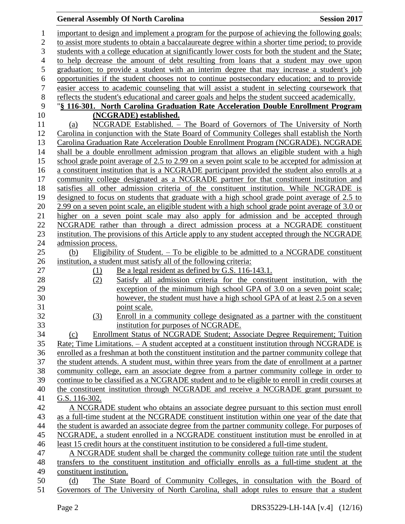## **General Assembly Of North Carolina Session 2017**

| $\mathbf{1}$     | important to design and implement a program for the purpose of achieving the following goals:                                                                                                         |  |  |  |  |
|------------------|-------------------------------------------------------------------------------------------------------------------------------------------------------------------------------------------------------|--|--|--|--|
| $\overline{2}$   | to assist more students to obtain a baccalaureate degree within a shorter time period; to provide                                                                                                     |  |  |  |  |
| 3                | students with a college education at significantly lower costs for both the student and the State;                                                                                                    |  |  |  |  |
| $\overline{4}$   | to help decrease the amount of debt resulting from loans that a student may owe upon                                                                                                                  |  |  |  |  |
| 5                | graduation; to provide a student with an interim degree that may increase a student's job                                                                                                             |  |  |  |  |
| $\sqrt{6}$       | opportunities if the student chooses not to continue postsecondary education; and to provide                                                                                                          |  |  |  |  |
| $\boldsymbol{7}$ | easier access to academic counseling that will assist a student in selecting coursework that                                                                                                          |  |  |  |  |
| $\,8\,$          | reflects the student's educational and career goals and helps the student succeed academically.                                                                                                       |  |  |  |  |
| 9                | "§ 116-301. North Carolina Graduation Rate Acceleration Double Enrollment Program                                                                                                                     |  |  |  |  |
| 10               | (NCGRADE) established.                                                                                                                                                                                |  |  |  |  |
| 11               | NCGRADE Established. - The Board of Governors of The University of North<br>(a)                                                                                                                       |  |  |  |  |
| 12               | Carolina in conjunction with the State Board of Community Colleges shall establish the North                                                                                                          |  |  |  |  |
| 13               | Carolina Graduation Rate Acceleration Double Enrollment Program (NCGRADE). NCGRADE                                                                                                                    |  |  |  |  |
| 14               | shall be a double enrollment admission program that allows an eligible student with a high                                                                                                            |  |  |  |  |
| 15               | school grade point average of 2.5 to 2.99 on a seven point scale to be accepted for admission at                                                                                                      |  |  |  |  |
| 16               | a constituent institution that is a NCGRADE participant provided the student also enrolls at a                                                                                                        |  |  |  |  |
| 17               | community college designated as a NCGRADE partner for that constituent institution and                                                                                                                |  |  |  |  |
| 18               | satisfies all other admission criteria of the constituent institution. While NCGRADE is                                                                                                               |  |  |  |  |
| 19               | designed to focus on students that graduate with a high school grade point average of 2.5 to                                                                                                          |  |  |  |  |
| 20               | 2.99 on a seven point scale, an eligible student with a high school grade point average of 3.0 or                                                                                                     |  |  |  |  |
| 21               | higher on a seven point scale may also apply for admission and be accepted through                                                                                                                    |  |  |  |  |
| 22               | NCGRADE rather than through a direct admission process at a NCGRADE constituent                                                                                                                       |  |  |  |  |
| 23               | institution. The provisions of this Article apply to any student accepted through the NCGRADE                                                                                                         |  |  |  |  |
| 24               | admission process.                                                                                                                                                                                    |  |  |  |  |
| 25               | Eligibility of Student. $-$ To be eligible to be admitted to a NCGRADE constituent<br>(b)                                                                                                             |  |  |  |  |
| 26               | institution, a student must satisfy all of the following criteria:                                                                                                                                    |  |  |  |  |
| 27               | Be a legal resident as defined by G.S. 116-143.1.<br>(1)                                                                                                                                              |  |  |  |  |
| 28               | Satisfy all admission criteria for the constituent institution, with the<br>(2)                                                                                                                       |  |  |  |  |
| 29               | exception of the minimum high school GPA of 3.0 on a seven point scale;                                                                                                                               |  |  |  |  |
| 30               | however, the student must have a high school GPA of at least 2.5 on a seven                                                                                                                           |  |  |  |  |
| 31               | point scale.                                                                                                                                                                                          |  |  |  |  |
| 32               | Enroll in a community college designated as a partner with the constituent<br>(3)                                                                                                                     |  |  |  |  |
| 33               | institution for purposes of NCGRADE.                                                                                                                                                                  |  |  |  |  |
| 34               | Enrollment Status of NCGRADE Student; Associate Degree Requirement; Tuition<br>(c)                                                                                                                    |  |  |  |  |
| 35<br>36         | Rate; Time Limitations. - A student accepted at a constituent institution through NCGRADE is                                                                                                          |  |  |  |  |
| 37               | enrolled as a freshman at both the constituent institution and the partner community college that<br>the student attends. A student must, within three years from the date of enrollment at a partner |  |  |  |  |
| 38               | community college, earn an associate degree from a partner community college in order to                                                                                                              |  |  |  |  |
| 39               | continue to be classified as a NCGRADE student and to be eligible to enroll in credit courses at                                                                                                      |  |  |  |  |
| 40               | the constituent institution through NCGRADE and receive a NCGRADE grant pursuant to                                                                                                                   |  |  |  |  |
| 41               | G.S. 116-302.                                                                                                                                                                                         |  |  |  |  |
| 42               | A NCGRADE student who obtains an associate degree pursuant to this section must enroll                                                                                                                |  |  |  |  |
| 43               | as a full-time student at the NCGRADE constituent institution within one year of the date that                                                                                                        |  |  |  |  |
| 44               | the student is awarded an associate degree from the partner community college. For purposes of                                                                                                        |  |  |  |  |
| 45               | NCGRADE, a student enrolled in a NCGRADE constituent institution must be enrolled in at                                                                                                               |  |  |  |  |
| 46               | least 15 credit hours at the constituent institution to be considered a full-time student.                                                                                                            |  |  |  |  |
| 47               | A NCGRADE student shall be charged the community college tuition rate until the student                                                                                                               |  |  |  |  |
| 48               | transfers to the constituent institution and officially enrolls as a full-time student at the                                                                                                         |  |  |  |  |
| 49               | constituent institution.                                                                                                                                                                              |  |  |  |  |
| 50               | The State Board of Community Colleges, in consultation with the Board of<br>(d)                                                                                                                       |  |  |  |  |
| 51               | Governors of The University of North Carolina, shall adopt rules to ensure that a student                                                                                                             |  |  |  |  |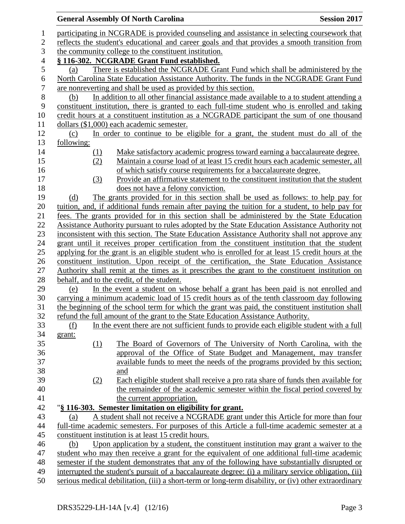|                                                                                                                                                                                               | <b>General Assembly Of North Carolina</b>                                                             | <b>Session 2017</b> |  |  |  |
|-----------------------------------------------------------------------------------------------------------------------------------------------------------------------------------------------|-------------------------------------------------------------------------------------------------------|---------------------|--|--|--|
|                                                                                                                                                                                               |                                                                                                       |                     |  |  |  |
| participating in NCGRADE is provided counseling and assistance in selecting coursework that<br>reflects the student's educational and career goals and that provides a smooth transition from |                                                                                                       |                     |  |  |  |
| the community college to the constituent institution.                                                                                                                                         |                                                                                                       |                     |  |  |  |
|                                                                                                                                                                                               |                                                                                                       |                     |  |  |  |
| § 116-302. NCGRADE Grant Fund established.<br>There is established the NCGRADE Grant Fund which shall be administered by the<br>(a)                                                           |                                                                                                       |                     |  |  |  |
|                                                                                                                                                                                               | North Carolina State Education Assistance Authority. The funds in the NCGRADE Grant Fund              |                     |  |  |  |
|                                                                                                                                                                                               |                                                                                                       |                     |  |  |  |
|                                                                                                                                                                                               | are nonreverting and shall be used as provided by this section.                                       |                     |  |  |  |
| (b)                                                                                                                                                                                           | In addition to all other financial assistance made available to a to student attending a              |                     |  |  |  |
|                                                                                                                                                                                               | constituent institution, there is granted to each full-time student who is enrolled and taking        |                     |  |  |  |
|                                                                                                                                                                                               | credit hours at a constituent institution as a NCGRADE participant the sum of one thousand            |                     |  |  |  |
|                                                                                                                                                                                               | dollars (\$1,000) each academic semester.                                                             |                     |  |  |  |
| (c)                                                                                                                                                                                           | In order to continue to be eligible for a grant, the student must do all of the                       |                     |  |  |  |
| following:                                                                                                                                                                                    |                                                                                                       |                     |  |  |  |
| <u>(1)</u>                                                                                                                                                                                    | Make satisfactory academic progress toward earning a baccalaureate degree.                            |                     |  |  |  |
| (2)                                                                                                                                                                                           | Maintain a course load of at least 15 credit hours each academic semester, all                        |                     |  |  |  |
|                                                                                                                                                                                               | of which satisfy course requirements for a baccalaureate degree.                                      |                     |  |  |  |
| (3)                                                                                                                                                                                           | Provide an affirmative statement to the constituent institution that the student                      |                     |  |  |  |
|                                                                                                                                                                                               | does not have a felony conviction.                                                                    |                     |  |  |  |
| (d)                                                                                                                                                                                           | The grants provided for in this section shall be used as follows: to help pay for                     |                     |  |  |  |
|                                                                                                                                                                                               | tuition, and, if additional funds remain after paying the tuition for a student, to help pay for      |                     |  |  |  |
|                                                                                                                                                                                               | fees. The grants provided for in this section shall be administered by the State Education            |                     |  |  |  |
|                                                                                                                                                                                               | Assistance Authority pursuant to rules adopted by the State Education Assistance Authority not        |                     |  |  |  |
|                                                                                                                                                                                               | inconsistent with this section. The State Education Assistance Authority shall not approve any        |                     |  |  |  |
|                                                                                                                                                                                               | grant until it receives proper certification from the constituent institution that the student        |                     |  |  |  |
|                                                                                                                                                                                               | applying for the grant is an eligible student who is enrolled for at least 15 credit hours at the     |                     |  |  |  |
|                                                                                                                                                                                               | constituent institution. Upon receipt of the certification, the State Education Assistance            |                     |  |  |  |
|                                                                                                                                                                                               | Authority shall remit at the times as it prescribes the grant to the constituent institution on       |                     |  |  |  |
|                                                                                                                                                                                               | behalf, and to the credit, of the student.                                                            |                     |  |  |  |
| (e)                                                                                                                                                                                           | In the event a student on whose behalf a grant has been paid is not enrolled and                      |                     |  |  |  |
|                                                                                                                                                                                               | carrying a minimum academic load of 15 credit hours as of the tenth classroom day following           |                     |  |  |  |
|                                                                                                                                                                                               | the beginning of the school term for which the grant was paid, the constituent institution shall      |                     |  |  |  |
|                                                                                                                                                                                               | refund the full amount of the grant to the State Education Assistance Authority.                      |                     |  |  |  |
| (f)                                                                                                                                                                                           | In the event there are not sufficient funds to provide each eligible student with a full              |                     |  |  |  |
| grant:                                                                                                                                                                                        |                                                                                                       |                     |  |  |  |
| (1)                                                                                                                                                                                           | The Board of Governors of The University of North Carolina, with the                                  |                     |  |  |  |
|                                                                                                                                                                                               | approval of the Office of State Budget and Management, may transfer                                   |                     |  |  |  |
|                                                                                                                                                                                               | available funds to meet the needs of the programs provided by this section;                           |                     |  |  |  |
|                                                                                                                                                                                               | and                                                                                                   |                     |  |  |  |
| (2)                                                                                                                                                                                           | Each eligible student shall receive a pro rata share of funds then available for                      |                     |  |  |  |
|                                                                                                                                                                                               | the remainder of the academic semester within the fiscal period covered by                            |                     |  |  |  |
|                                                                                                                                                                                               |                                                                                                       |                     |  |  |  |
|                                                                                                                                                                                               | the current appropriation.                                                                            |                     |  |  |  |
|                                                                                                                                                                                               | "§ 116-303. Semester limitation on eligibility for grant.                                             |                     |  |  |  |
| (a)                                                                                                                                                                                           | A student shall not receive a NCGRADE grant under this Article for more than four                     |                     |  |  |  |
|                                                                                                                                                                                               | full-time academic semesters. For purposes of this Article a full-time academic semester at a         |                     |  |  |  |
|                                                                                                                                                                                               | constituent institution is at least 15 credit hours.                                                  |                     |  |  |  |
| (b)                                                                                                                                                                                           | Upon application by a student, the constituent institution may grant a waiver to the                  |                     |  |  |  |
|                                                                                                                                                                                               | student who may then receive a grant for the equivalent of one additional full-time academic          |                     |  |  |  |
|                                                                                                                                                                                               | semester if the student demonstrates that any of the following have substantially disrupted or        |                     |  |  |  |
|                                                                                                                                                                                               | interrupted the student's pursuit of a baccalaureate degree: (i) a military service obligation, (ii)  |                     |  |  |  |
|                                                                                                                                                                                               | serious medical debilitation, (iii) a short-term or long-term disability, or (iv) other extraordinary |                     |  |  |  |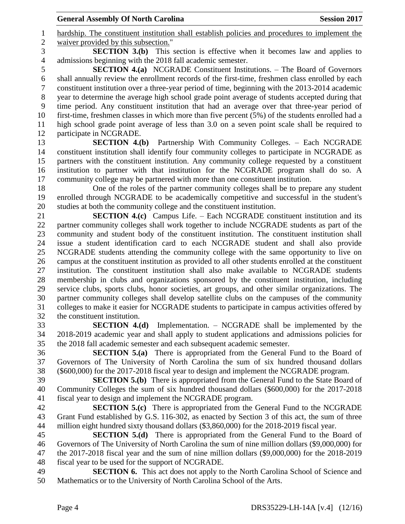hardship. The constituent institution shall establish policies and procedures to implement the waiver provided by this subsection."

 **SECTION 3.(b)** This section is effective when it becomes law and applies to admissions beginning with the 2018 fall academic semester.

 **SECTION 4.(a)** NCGRADE Constituent Institutions. – The Board of Governors shall annually review the enrollment records of the first-time, freshmen class enrolled by each constituent institution over a three-year period of time, beginning with the 2013-2014 academic year to determine the average high school grade point average of students accepted during that time period. Any constituent institution that had an average over that three-year period of first-time, freshmen classes in which more than five percent (5%) of the students enrolled had a high school grade point average of less than 3.0 on a seven point scale shall be required to participate in NCGRADE.

 **SECTION 4.(b)** Partnership With Community Colleges. – Each NCGRADE constituent institution shall identify four community colleges to participate in NCGRADE as partners with the constituent institution. Any community college requested by a constituent institution to partner with that institution for the NCGRADE program shall do so. A community college may be partnered with more than one constituent institution.

 One of the roles of the partner community colleges shall be to prepare any student enrolled through NCGRADE to be academically competitive and successful in the student's studies at both the community college and the constituent institution.

 **SECTION 4.(c)** Campus Life. – Each NCGRADE constituent institution and its partner community colleges shall work together to include NCGRADE students as part of the community and student body of the constituent institution. The constituent institution shall issue a student identification card to each NCGRADE student and shall also provide NCGRADE students attending the community college with the same opportunity to live on campus at the constituent institution as provided to all other students enrolled at the constituent institution. The constituent institution shall also make available to NCGRADE students membership in clubs and organizations sponsored by the constituent institution, including service clubs, sports clubs, honor societies, art groups, and other similar organizations. The partner community colleges shall develop satellite clubs on the campuses of the community colleges to make it easier for NCGRADE students to participate in campus activities offered by the constituent institution.

 **SECTION 4.(d)** Implementation. – NCGRADE shall be implemented by the 2018-2019 academic year and shall apply to student applications and admissions policies for the 2018 fall academic semester and each subsequent academic semester.

 **SECTION 5.(a)** There is appropriated from the General Fund to the Board of Governors of The University of North Carolina the sum of six hundred thousand dollars (\$600,000) for the 2017-2018 fiscal year to design and implement the NCGRADE program.

 **SECTION 5.(b)** There is appropriated from the General Fund to the State Board of Community Colleges the sum of six hundred thousand dollars (\$600,000) for the 2017-2018 fiscal year to design and implement the NCGRADE program.

 **SECTION 5.(c)** There is appropriated from the General Fund to the NCGRADE Grant Fund established by G.S. 116-302, as enacted by Section 3 of this act, the sum of three million eight hundred sixty thousand dollars (\$3,860,000) for the 2018-2019 fiscal year.

 **SECTION 5.(d)** There is appropriated from the General Fund to the Board of Governors of The University of North Carolina the sum of nine million dollars (\$9,000,000) for the 2017-2018 fiscal year and the sum of nine million dollars (\$9,000,000) for the 2018-2019 fiscal year to be used for the support of NCGRADE.

 **SECTION 6.** This act does not apply to the North Carolina School of Science and Mathematics or to the University of North Carolina School of the Arts.